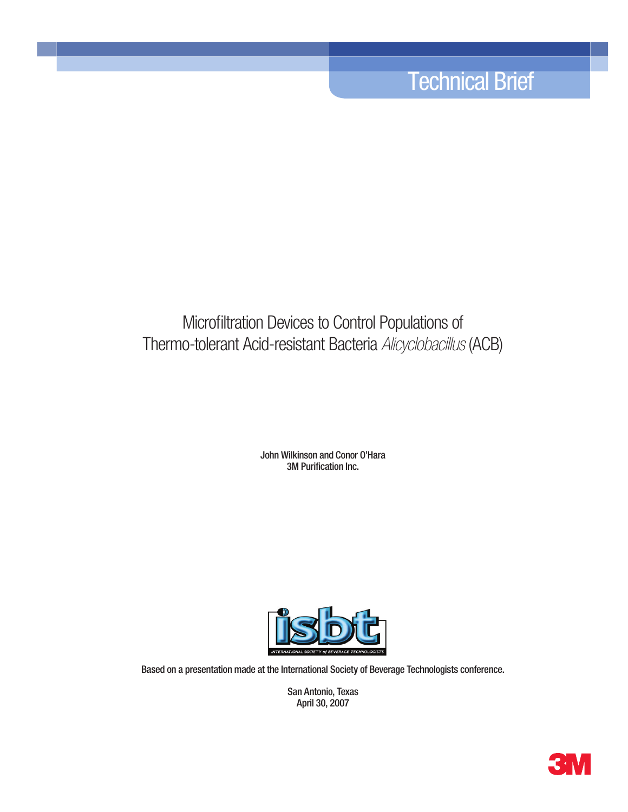# Technical Brief

## Microfiltration Devices to Control Populations of Thermo-tolerant Acid-resistant Bacteria *Alicyclobacillus* (ACB)

John Wilkinson and Conor O'Hara 3M Purification Inc.



Based on a presentation made at the International Society of Beverage Technologists conference.

San Antonio, Texas April 30, 2007

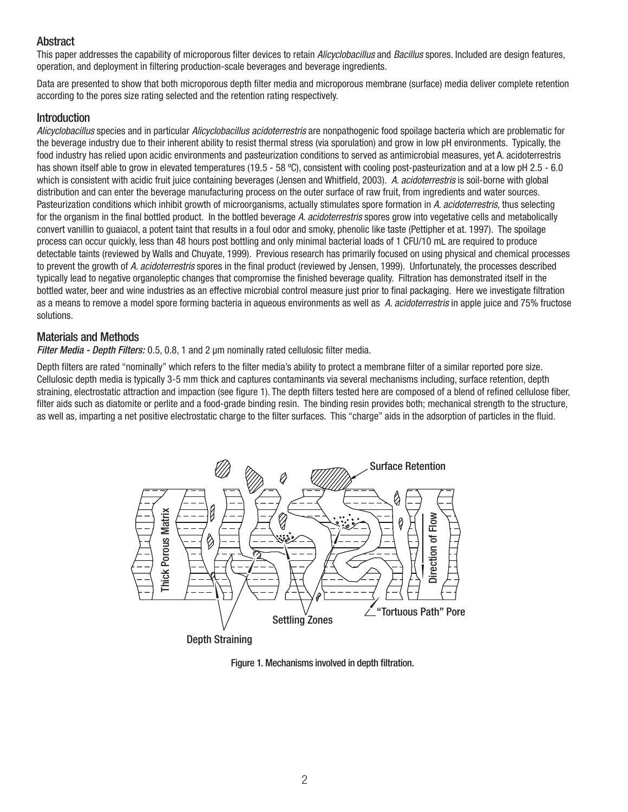## **Abstract**

This paper addresses the capability of microporous filter devices to retain *Alicyclobacillus* and *Bacillus* spores. Included are design features, operation, and deployment in filtering production-scale beverages and beverage ingredients.

Data are presented to show that both microporous depth filter media and microporous membrane (surface) media deliver complete retention according to the pores size rating selected and the retention rating respectively.

#### **Introduction**

*Alicyclobacillus* species and in particular *Alicyclobacillus acidoterrestris* are nonpathogenic food spoilage bacteria which are problematic for the beverage industry due to their inherent ability to resist thermal stress (via sporulation) and grow in low pH environments. Typically, the food industry has relied upon acidic environments and pasteurization conditions to served as antimicrobial measures, yet A. acidoterrestris has shown itself able to grow in elevated temperatures (19.5 - 58 °C), consistent with cooling post-pasteurization and at a low pH 2.5 - 6.0 which is consistent with acidic fruit juice containing beverages (Jensen and Whitfield, 2003). *A. acidoterrestris* is soil-borne with global distribution and can enter the beverage manufacturing process on the outer surface of raw fruit, from ingredients and water sources. Pasteurization conditions which inhibit growth of microorganisms, actually stimulates spore formation in *A. acidoterrestris*, thus selecting for the organism in the final bottled product. In the bottled beverage *A. acidoterrestris* spores grow into vegetative cells and metabolically convert vanillin to guaiacol, a potent taint that results in a foul odor and smoky, phenolic like taste (Pettipher et at. 1997). The spoilage process can occur quickly, less than 48 hours post bottling and only minimal bacterial loads of 1 CFU/10 mL are required to produce detectable taints (reviewed by Walls and Chuyate, 1999). Previous research has primarily focused on using physical and chemical processes to prevent the growth of *A. acidoterrestris* spores in the final product (reviewed by Jensen, 1999). Unfortunately, the processes described typically lead to negative organoleptic changes that compromise the finished beverage quality. Filtration has demonstrated itself in the bottled water, beer and wine industries as an effective microbial control measure just prior to final packaging. Here we investigate filtration as a means to remove a model spore forming bacteria in aqueous environments as well as *A. acidoterrestris* in apple juice and 75% fructose solutions.

#### Materials and Methods

*Filter Media - Depth Filters:* 0.5, 0.8, 1 and 2 µm nominally rated cellulosic filter media.

Depth filters are rated "nominally" which refers to the filter media's ability to protect a membrane filter of a similar reported pore size. Cellulosic depth media is typically 3-5 mm thick and captures contaminants via several mechanisms including, surface retention, depth straining, electrostatic attraction and impaction (see figure 1). The depth filters tested here are composed of a blend of refined cellulose fiber, filter aids such as diatomite or perlite and a food-grade binding resin. The binding resin provides both; mechanical strength to the structure, as well as, imparting a net positive electrostatic charge to the filter surfaces. This "charge" aids in the adsorption of particles in the fluid.



Depth Straining

Figure 1. Mechanisms involved in depth filtration.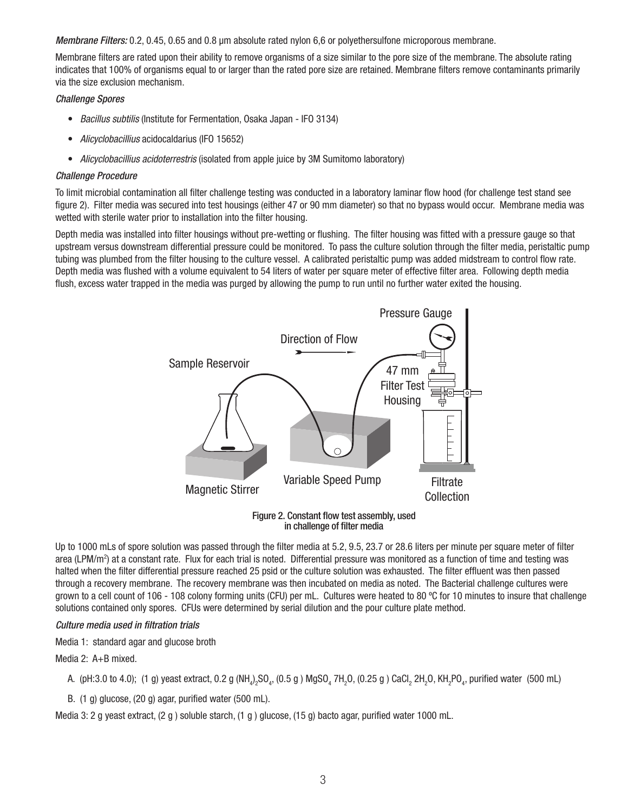*Membrane Filters:* 0.2, 0.45, 0.65 and 0.8 µm absolute rated nylon 6,6 or polyethersulfone microporous membrane.

Membrane filters are rated upon their ability to remove organisms of a size similar to the pore size of the membrane. The absolute rating indicates that 100% of organisms equal to or larger than the rated pore size are retained. Membrane filters remove contaminants primarily via the size exclusion mechanism.

#### *Challenge Spores*

- *Bacillus subtilis* (Institute for Fermentation, Osaka Japan IFO 3134)
- *Alicyclobacillius* acidocaldarius (IFO 15652)
- *Alicyclobacillius acidoterrestris* (isolated from apple juice by 3M Sumitomo laboratory)

#### *Challenge Procedure*

To limit microbial contamination all filter challenge testing was conducted in a laboratory laminar flow hood (for challenge test stand see figure 2). Filter media was secured into test housings (either 47 or 90 mm diameter) so that no bypass would occur. Membrane media was wetted with sterile water prior to installation into the filter housing.

Depth media was installed into filter housings without pre-wetting or flushing. The filter housing was fitted with a pressure gauge so that upstream versus downstream differential pressure could be monitored. To pass the culture solution through the filter media, peristaltic pump tubing was plumbed from the filter housing to the culture vessel. A calibrated peristaltic pump was added midstream to control flow rate. Depth media was flushed with a volume equivalent to 54 liters of water per square meter of effective filter area. Following depth media flush, excess water trapped in the media was purged by allowing the pump to run until no further water exited the housing.



Figure 2. Constant flow test assembly, used in challenge of filter media

Up to 1000 mLs of spore solution was passed through the filter media at 5.2, 9.5, 23.7 or 28.6 liters per minute per square meter of filter area (LPM/m<sup>2</sup>) at a constant rate. Flux for each trial is noted. Differential pressure was monitored as a function of time and testing was halted when the filter differential pressure reached 25 psid or the culture solution was exhausted. The filter effluent was then passed through a recovery membrane. The recovery membrane was then incubated on media as noted. The Bacterial challenge cultures were grown to a cell count of 106 - 108 colony forming units (CFU) per mL. Cultures were heated to 80 ºC for 10 minutes to insure that challenge solutions contained only spores. CFUs were determined by serial dilution and the pour culture plate method.

#### *Culture media used in filtration trials*

Media 1: standard agar and glucose broth

Media 2: A+B mixed.

- A. (pH:3.0 to 4.0); (1 g) yeast extract, 0.2 g (NH $_4$ )<sub>2</sub>SO $_4$ , (0.5 g ) MgSO $_4$  7H $_2$ O, (0.25 g ) CaCl $_2$  2H $_2$ O, KH $_2$ PO $_4$ , purified water (500 mL)
- B. (1 g) glucose, (20 g) agar, purified water (500 mL).

Media 3: 2 g yeast extract, (2 g ) soluble starch, (1 g ) glucose, (15 g) bacto agar, purified water 1000 mL.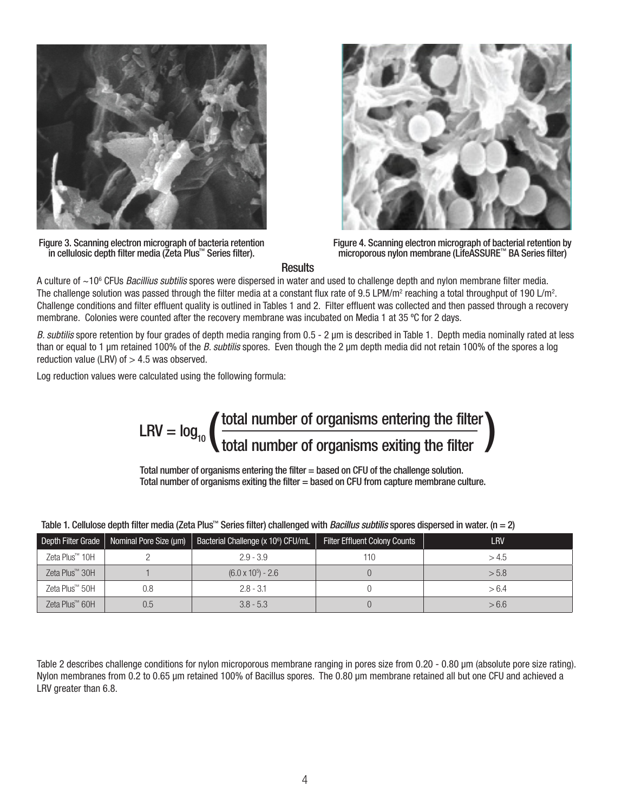

Figure 3. Scanning electron micrograph of bacteria retention in cellulosic depth filter media (Zeta Plus™ Series filter).



Figure 4. Scanning electron micrograph of bacterial retention by microporous nylon membrane (LifeASSURE™ BA Series filter)

**Results** 

A culture of ~106 CFUs *Bacillius subtilis* spores were dispersed in water and used to challenge depth and nylon membrane filter media. The challenge solution was passed through the filter media at a constant flux rate of 9.5 LPM/m<sup>2</sup> reaching a total throughput of 190 L/m<sup>2</sup>. Challenge conditions and filter effluent quality is outlined in Tables 1 and 2. Filter effluent was collected and then passed through a recovery membrane. Colonies were counted after the recovery membrane was incubated on Media 1 at 35 ºC for 2 days.

*B. subtilis* spore retention by four grades of depth media ranging from 0.5 - 2 µm is described in Table 1. Depth media nominally rated at less than or equal to 1 µm retained 100% of the *B. subtilis* spores. Even though the 2 µm depth media did not retain 100% of the spores a log reduction value (LRV) of  $>$  4.5 was observed.

Log reduction values were calculated using the following formula:

$$
LRV = \log_{10} \left( \frac{\text{total number of organisms entering the filter}}{\text{total number of organisms exiting the filter}} \right)
$$

Total number of organisms entering the filter = based on CFU of the challenge solution. Total number of organisms exiting the filter = based on CFU from capture membrane culture.

| Depth Filter Grade         | Nominal Pore Size (µm) | Bacterial Challenge (x 10 <sup>6</sup> ) CFU/mL | <b>Filter Effluent Colony Counts</b> | LRV   |
|----------------------------|------------------------|-------------------------------------------------|--------------------------------------|-------|
| Zeta Plus <sup>™</sup> 10H |                        | $2.9 - 3.9$                                     | 110                                  | >4.5  |
| Zeta Plus <sup>™</sup> 30H |                        | $(6.0 \times 10^5) - 2.6$                       |                                      | > 5.8 |
| Zeta Plus™ 50H             | 0.8                    | $2.8 - 3.1$                                     |                                      | > 6.4 |
| Zeta Plus <sup>™</sup> 60H | 0.5                    | $3.8 - 5.3$                                     |                                      | > 6.6 |

Table 1. Cellulose depth filter media (Zeta Plus™ Series filter) challenged with *Bacillus subtilis* spores dispersed in water. (n = 2)

Table 2 describes challenge conditions for nylon microporous membrane ranging in pores size from 0.20 - 0.80 µm (absolute pore size rating). Nylon membranes from 0.2 to 0.65 µm retained 100% of Bacillus spores. The 0.80 µm membrane retained all but one CFU and achieved a LRV greater than 6.8.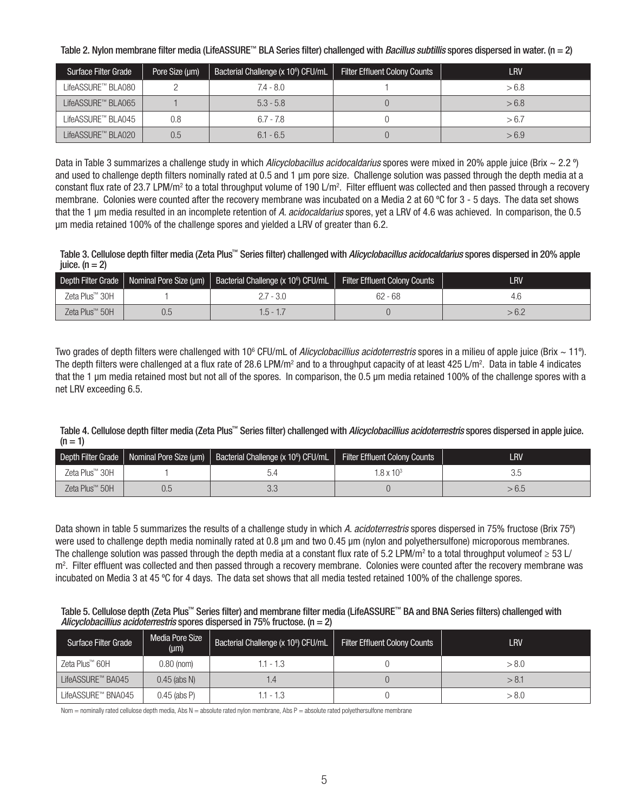Table 2. Nylon membrane filter media (LifeASSURE™ BLA Series filter) challenged with *Bacillus subtillis* spores dispersed in water. (n = 2)

| <b>Surface Filter Grade</b> | Pore Size (um) | Bacterial Challenge (x 10 <sup>6</sup> ) CFU/mL | <b>Filter Effluent Colony Counts</b> | LRV   |
|-----------------------------|----------------|-------------------------------------------------|--------------------------------------|-------|
| LifeASSURE™ BLA080          |                | $7.4 - 8.0$                                     |                                      | > 6.8 |
| LifeASSURE™ BLA065          |                | $5.3 - 5.8$                                     |                                      | > 6.8 |
| LifeASSURE™ BLA045          | 0.8            | $6.7 - 7.8$                                     |                                      | > 6.7 |
| LifeASSURE™ BLA020          | 0.5            | $6.1 - 6.5$                                     |                                      | > 6.9 |

Data in Table 3 summarizes a challenge study in which *Alicyclobacillus acidocaldarius* spores were mixed in 20% apple juice (Brix ~ 2.2 º) and used to challenge depth filters nominally rated at 0.5 and 1 µm pore size. Challenge solution was passed through the depth media at a constant flux rate of 23.7 LPM/m<sup>2</sup> to a total throughput volume of 190 L/m<sup>2</sup>. Filter effluent was collected and then passed through a recovery membrane. Colonies were counted after the recovery membrane was incubated on a Media 2 at 60 ºC for 3 - 5 days. The data set shows that the 1 µm media resulted in an incomplete retention of *A. acidocaldarius* spores, yet a LRV of 4.6 was achieved. In comparison, the 0.5 µm media retained 100% of the challenge spores and yielded a LRV of greater than 6.2.

Table 3. Cellulose depth filter media (Zeta Plus™ Series filter) challenged with *Alicyclobacillus acidocaldarius* spores dispersed in 20% apple juice.  $(n = 2)$ 

| Depth Filter Grade         | Nominal Pore Size (µm)   Bacterial Challenge (x 10 $\degree$ ) CFU/mL | <b>Filter Effluent Colony Counts</b> | <b>LRV</b> |
|----------------------------|-----------------------------------------------------------------------|--------------------------------------|------------|
| Zeta Plus™ 30H             | - 3.0                                                                 | $62 - 68$                            | 4.C        |
| Zeta Plus <sup>™</sup> 50H | ხ - 1                                                                 |                                      | - U.L      |

Two grades of depth filters were challenged with 10<sup>6</sup> CFU/mL of *Alicyclobacillius acidoterrestris* spores in a milieu of apple juice (Brix ~ 11º). The depth filters were challenged at a flux rate of 28.6 LPM/m<sup>2</sup> and to a throughput capacity of at least 425 L/m<sup>2</sup>. Data in table 4 indicates that the 1 µm media retained most but not all of the spores. In comparison, the 0.5 µm media retained 100% of the challenge spores with a net LRV exceeding 6.5.

Table 4. Cellulose depth filter media (Zeta Plus™ Series filter) challenged with *Alicyclobacillius acidoterrestris* spores dispersed in apple juice.  $(n = 1)$ 

| Depth Filter Grade         |                          | Nominal Pore Size (µm)   Bacterial Challenge (x 10 <sup>6</sup> ) CFU/mL | <b>Filter Effluent Colony Counts</b> | LRV   |
|----------------------------|--------------------------|--------------------------------------------------------------------------|--------------------------------------|-------|
| Zeta Plus <sup>™</sup> 30H |                          |                                                                          | $.8 \times 10^3$                     | 3.C   |
| Zeta Plus <sup>™</sup> 50H | $\overline{\phantom{a}}$ | 3.3                                                                      |                                      | > 6.5 |

Data shown in table 5 summarizes the results of a challenge study in which *A. acidoterrestris* spores dispersed in 75% fructose (Brix 75º) were used to challenge depth media nominally rated at 0.8  $\mu$ m and two 0.45  $\mu$ m (nylon and polyethersulfone) microporous membranes. The challenge solution was passed through the depth media at a constant flux rate of 5.2 LPM/m² to a total throughput volumeof  $\geq$  53 L/ m<sup>2</sup>. Filter effluent was collected and then passed through a recovery membrane. Colonies were counted after the recovery membrane was incubated on Media 3 at 45 ºC for 4 days. The data set shows that all media tested retained 100% of the challenge spores.

#### Table 5. Cellulose depth (Zeta Plus™ Series filter) and membrane filter media (LifeASSURE™ BA and BNA Series filters) challenged with *Alicyclobacillius acidoterrestris* spores dispersed in 75% fructose. (n = 2)

| Surface Filter Grade | Media Pore Size<br>$(\mu m)$ | Bacterial Challenge (x 10 <sup>8</sup> ) CFU/mL | <b>Filter Effluent Colony Counts</b> | LRV   |
|----------------------|------------------------------|-------------------------------------------------|--------------------------------------|-------|
| Zeta Plus™ 60H       | $0.80$ (nom)                 | 1.1 - 1.3                                       |                                      | > 8.0 |
| LifeASSURE™ BA045    | $0.45$ (abs N)               | . 4                                             |                                      | > 8.1 |
| LifeASSURE™ BNA045   | $0.45$ (abs P)               | $.1 - 1.3$                                      |                                      | > 8.0 |

Nom = nominally rated cellulose depth media, Abs  $N =$  absolute rated nylon membrane, Abs  $P =$  absolute rated polyethersulfone membrane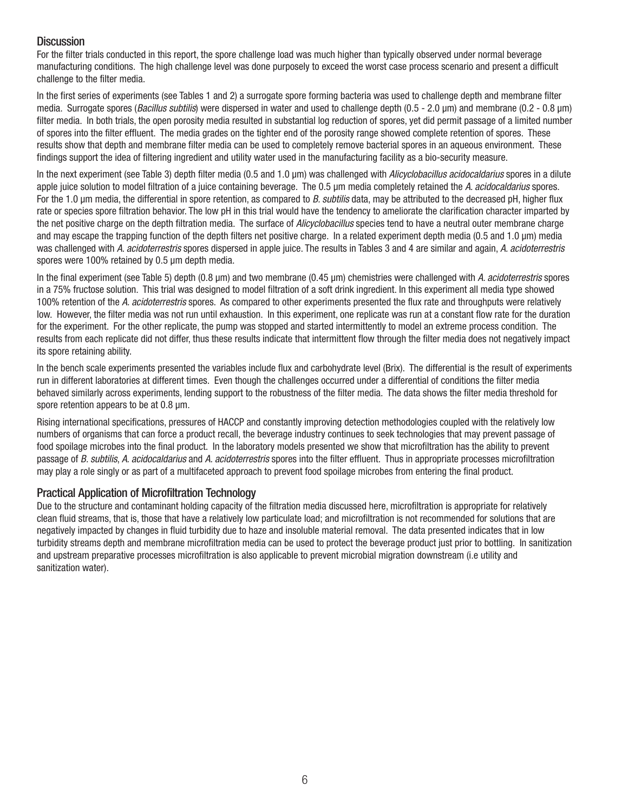#### **Discussion**

For the filter trials conducted in this report, the spore challenge load was much higher than typically observed under normal beverage manufacturing conditions. The high challenge level was done purposely to exceed the worst case process scenario and present a difficult challenge to the filter media.

In the first series of experiments (see Tables 1 and 2) a surrogate spore forming bacteria was used to challenge depth and membrane filter media. Surrogate spores (*Bacillus subtilis*) were dispersed in water and used to challenge depth (0.5 - 2.0 µm) and membrane (0.2 - 0.8 µm) filter media. In both trials, the open porosity media resulted in substantial log reduction of spores, yet did permit passage of a limited number of spores into the filter effluent. The media grades on the tighter end of the porosity range showed complete retention of spores. These results show that depth and membrane filter media can be used to completely remove bacterial spores in an aqueous environment. These findings support the idea of filtering ingredient and utility water used in the manufacturing facility as a bio-security measure.

In the next experiment (see Table 3) depth filter media (0.5 and 1.0 µm) was challenged with *Alicyclobacillus acidocaldarius* spores in a dilute apple juice solution to model filtration of a juice containing beverage. The 0.5 µm media completely retained the *A. acidocaldarius* spores. For the 1.0 µm media, the differential in spore retention, as compared to *B. subtilis* data, may be attributed to the decreased pH, higher flux rate or species spore filtration behavior. The low pH in this trial would have the tendency to ameliorate the clarification character imparted by the net positive charge on the depth filtration media. The surface of *Alicyclobacillus* species tend to have a neutral outer membrane charge and may escape the trapping function of the depth filters net positive charge. In a related experiment depth media (0.5 and 1.0 µm) media was challenged with *A. acidoterrestris* spores dispersed in apple juice. The results in Tables 3 and 4 are similar and again, *A. acidoterrestris* spores were 100% retained by 0.5 µm depth media.

In the final experiment (see Table 5) depth (0.8 µm) and two membrane (0.45 µm) chemistries were challenged with *A. acidoterrestris* spores in a 75% fructose solution. This trial was designed to model filtration of a soft drink ingredient. In this experiment all media type showed 100% retention of the *A. acidoterrestris* spores. As compared to other experiments presented the flux rate and throughputs were relatively low. However, the filter media was not run until exhaustion. In this experiment, one replicate was run at a constant flow rate for the duration for the experiment. For the other replicate, the pump was stopped and started intermittently to model an extreme process condition. The results from each replicate did not differ, thus these results indicate that intermittent flow through the filter media does not negatively impact its spore retaining ability.

In the bench scale experiments presented the variables include flux and carbohydrate level (Brix). The differential is the result of experiments run in different laboratories at different times. Even though the challenges occurred under a differential of conditions the filter media behaved similarly across experiments, lending support to the robustness of the filter media. The data shows the filter media threshold for spore retention appears to be at 0.8  $\mu$ m.

Rising international specifications, pressures of HACCP and constantly improving detection methodologies coupled with the relatively low numbers of organisms that can force a product recall, the beverage industry continues to seek technologies that may prevent passage of food spoilage microbes into the final product. In the laboratory models presented we show that microfiltration has the ability to prevent passage of *B. subtilis*, *A. acidocaldarius* and *A. acidoterrestris* spores into the filter effluent. Thus in appropriate processes microfiltration may play a role singly or as part of a multifaceted approach to prevent food spoilage microbes from entering the final product.

## Practical Application of Microfiltration Technology

Due to the structure and contaminant holding capacity of the filtration media discussed here, microfiltration is appropriate for relatively clean fluid streams, that is, those that have a relatively low particulate load; and microfiltration is not recommended for solutions that are negatively impacted by changes in fluid turbidity due to haze and insoluble material removal. The data presented indicates that in low turbidity streams depth and membrane microfiltration media can be used to protect the beverage product just prior to bottling. In sanitization and upstream preparative processes microfiltration is also applicable to prevent microbial migration downstream (i.e utility and sanitization water).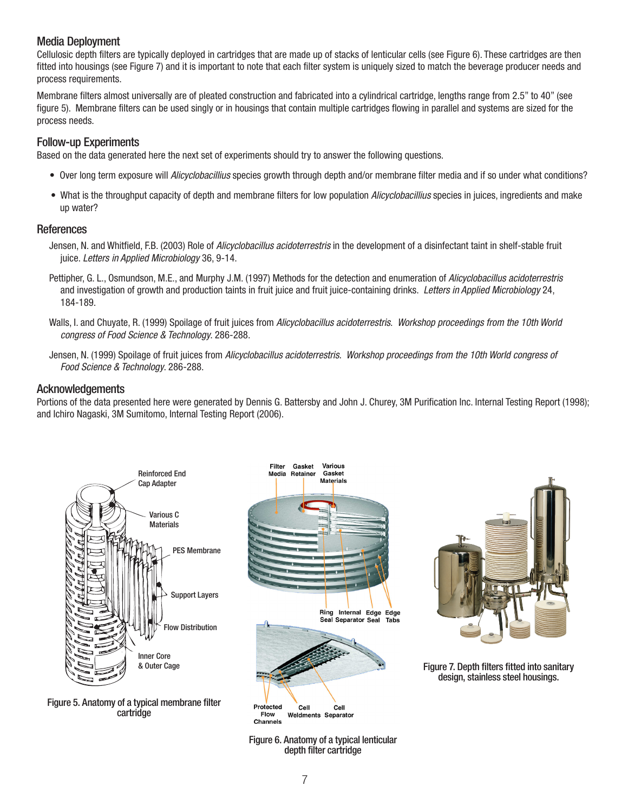## Media Deployment

Cellulosic depth filters are typically deployed in cartridges that are made up of stacks of lenticular cells (see Figure 6). These cartridges are then fitted into housings (see Figure 7) and it is important to note that each filter system is uniquely sized to match the beverage producer needs and process requirements.

Membrane filters almost universally are of pleated construction and fabricated into a cylindrical cartridge, lengths range from 2.5" to 40" (see figure 5). Membrane filters can be used singly or in housings that contain multiple cartridges flowing in parallel and systems are sized for the process needs.

#### Follow-up Experiments

Based on the data generated here the next set of experiments should try to answer the following questions.

- Over long term exposure will *Alicyclobacillius* species growth through depth and/or membrane filter media and if so under what conditions?
- What is the throughput capacity of depth and membrane filters for low population *Alicyclobacillius* species in juices, ingredients and make up water?

#### **References**

- Jensen, N. and Whitfield, F.B. (2003) Role of *Alicyclobacillus acidoterrestris* in the development of a disinfectant taint in shelf-stable fruit juice. *Letters in Applied Microbiology* 36, 9-14.
- Pettipher, G. L., Osmundson, M.E., and Murphy J.M. (1997) Methods for the detection and enumeration of *Alicyclobacillus acidoterrestris* and investigation of growth and production taints in fruit juice and fruit juice-containing drinks. *Letters in Applied Microbiology* 24, 184-189.
- Walls, I. and Chuyate, R. (1999) Spoilage of fruit juices from *Alicyclobacillus acidoterrestris*. *Workshop proceedings from the 10th World congress of Food Science & Technology*. 286-288.
- Jensen, N. (1999) Spoilage of fruit juices from *Alicyclobacillus acidoterrestris*. *Workshop proceedings from the 10th World congress of Food Science & Technology*. 286-288.

#### Acknowledgements

Portions of the data presented here were generated by Dennis G. Battersby and John J. Churey, 3M Purification Inc. Internal Testing Report (1998); and Ichiro Nagaski, 3M Sumitomo, Internal Testing Report (2006).



Figure 5. Anatomy of a typical membrane filter cartridge





Figure 7. Depth filters fitted into sanitary design, stainless steel housings.

Figure 6. Anatomy of a typical lenticular depth filter cartridge